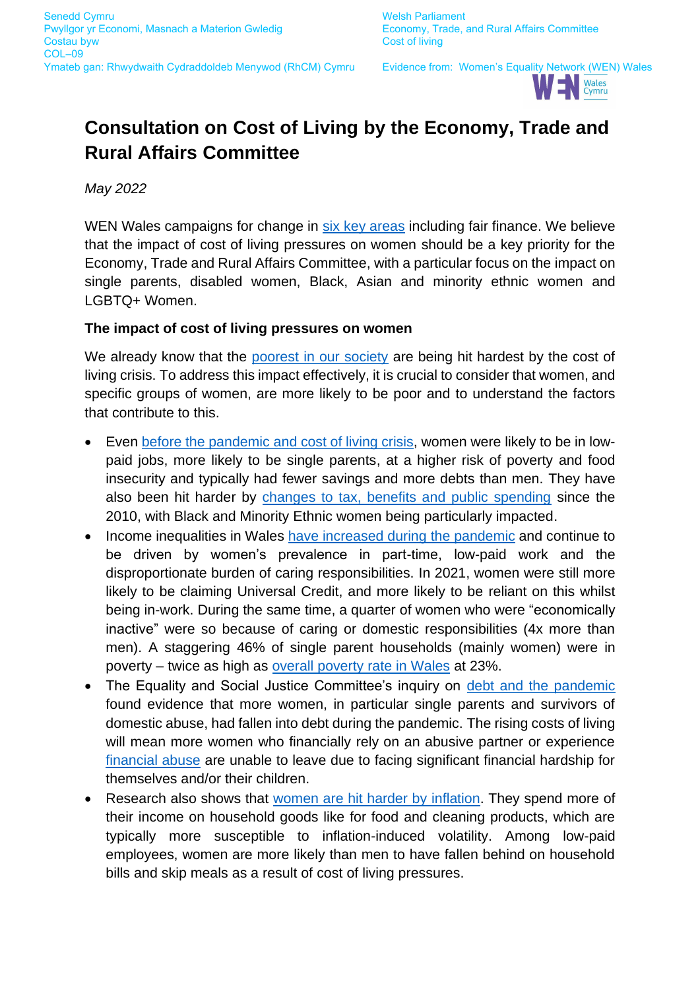

# **Consultation on Cost of Living by the Economy, Trade and Rural Affairs Committee**

*May 2022*

WEN Wales campaigns for change in [six key areas](https://wenwales.org.uk/about-wen/) including fair finance. We believe that the impact of cost of living pressures on women should be a key priority for the Economy, Trade and Rural Affairs Committee, with a particular focus on the impact on single parents, disabled women, Black, Asian and minority ethnic women and LGBTQ+ Women.

### **The impact of cost of living pressures on women**

We already know that the [poorest in our society](https://www.jrf.org.uk/report/poverty-and-cost-living) are being hit hardest by the cost of living crisis. To address this impact effectively, it is crucial to consider that women, and specific groups of women, are more likely to be poor and to understand the factors that contribute to this.

- Even [before the pandemic and cost of living crisis,](https://www.bevanfoundation.org/resources/trapped-poverty-amongst-women-in-wales-today/) women were likely to be in lowpaid jobs, more likely to be single parents, at a higher risk of poverty and food insecurity and typically had fewer savings and more debts than men. They have also been hit harder by [changes to tax, benefits and public spending](https://wbg.org.uk/analysis/intersecting-inequalities/) since the 2010, with Black and Minority Ethnic women being particularly impacted.
- Income inequalities in Wales [have increased during the pandemic](https://chwaraeteg.com/wp-content/uploads/2022/03/State-of-the-Nation-2022_digital.pdf) and continue to be driven by women's prevalence in part-time, low-paid work and the disproportionate burden of caring responsibilities. In 2021, women were still more likely to be claiming Universal Credit, and more likely to be reliant on this whilst being in-work. During the same time, a quarter of women who were "economically inactive" were so because of caring or domestic responsibilities (4x more than men). A staggering 46% of single parent households (mainly women) were in poverty – twice as high as [overall poverty rate in Wales](https://www.jrf.org.uk/report/uk-poverty-2022) at 23%.
- The Equality and Social Justice Committee's inquiry on [debt and the pandemic](https://senedd.wales/media/qfalt0jy/cr-ld14666-e.pdf) found evidence that more women, in particular single parents and survivors of domestic abuse, had fallen into debt during the pandemic. The rising costs of living will mean more women who financially rely on an abusive partner or experience [financial abuse](https://www.bevanfoundation.org/resources/women-economic-violence/) are unable to leave due to facing significant financial hardship for themselves and/or their children.
- Research also shows that [women are hit harder by](https://www.livingwage.org.uk/news/cost-living-crisis-affecting-women) inflation. They spend more of their income on household goods like for food and cleaning products, which are typically more susceptible to inflation-induced volatility. Among low-paid employees, women are more likely than men to have fallen behind on household bills and skip meals as a result of cost of living pressures.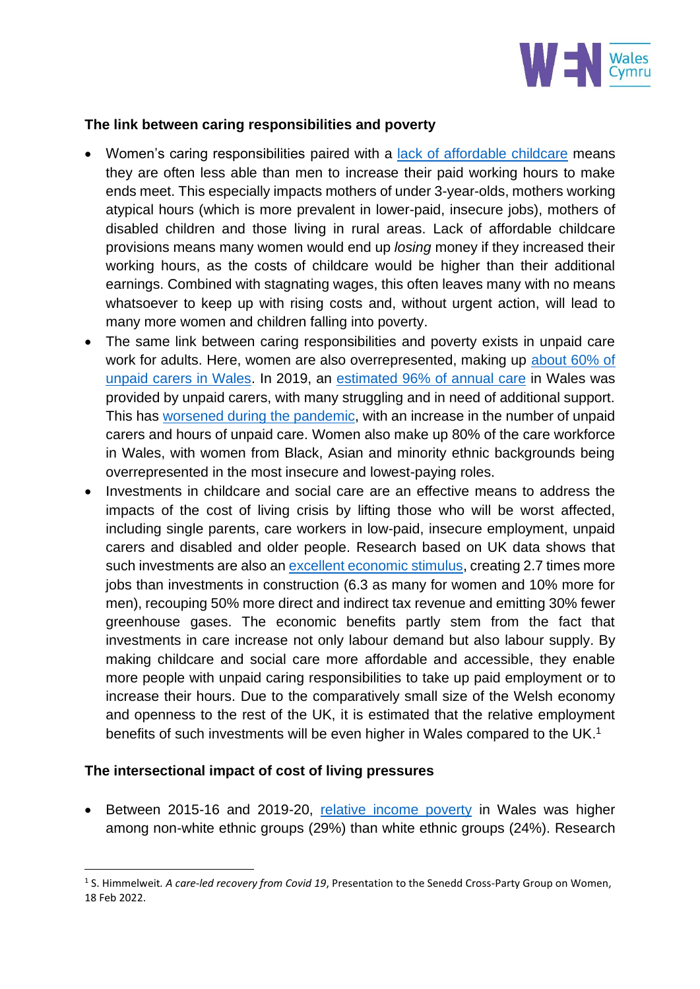

#### **The link between caring responsibilities and poverty**

- Women's caring responsibilities paired with a [lack of affordable childcare](https://wenwales.org.uk/wp-content/uploads/2022/01/WEN-Wales-Childcare-and-parental-employment.pdf) means they are often less able than men to increase their paid working hours to make ends meet. This especially impacts mothers of under 3-year-olds, mothers working atypical hours (which is more prevalent in lower-paid, insecure jobs), mothers of disabled children and those living in rural areas. Lack of affordable childcare provisions means many women would end up *losing* money if they increased their working hours, as the costs of childcare would be higher than their additional earnings. Combined with stagnating wages, this often leaves many with no means whatsoever to keep up with rising costs and, without urgent action, will lead to many more women and children falling into poverty.
- The same link between caring responsibilities and poverty exists in unpaid care work for adults. Here, women are also overrepresented, making up [about 60% of](https://phw.nhs.wales/publications/publications1/unpaid-carers-in-wales-the-determinants-of-mental-wellbeing/)  [unpaid carers in Wales.](https://phw.nhs.wales/publications/publications1/unpaid-carers-in-wales-the-determinants-of-mental-wellbeing/) In 2019, an [estimated 96% of annual care](https://business.senedd.wales/documents/s96075/Report%20-%20Caring%20for%20our%20Future%20An%20inquiry%20into%20the%20impact%20of%20the%20Social%20Services%20and%20Well-being%20Wa.pdf) in Wales was provided by unpaid carers, with many struggling and in need of additional support. This has [worsened during the pandemic,](https://www.carersuk.org/wales/news-campaigns/news/the-forgotten-families-in-lockdown-unpaid-carers-close-to-burnout-during-covid-19-crisis-wales) with an increase in the number of unpaid carers and hours of unpaid care. Women also make up 80% of the care workforce in Wales, with women from Black, Asian and minority ethnic backgrounds being overrepresented in the most insecure and lowest-paying roles.
- Investments in childcare and social care are an effective means to address the impacts of the cost of living crisis by lifting those who will be worst affected, including single parents, care workers in low-paid, insecure employment, unpaid carers and disabled and older people. Research based on UK data shows that such investments are also a[n excellent economic](https://wbg.org.uk/analysis/reports/a-care-led-recovery-from-coronavirus/) stimulus, creating 2.7 times more jobs than investments in construction (6.3 as many for women and 10% more for men), recouping 50% more direct and indirect tax revenue and emitting 30% fewer greenhouse gases. The economic benefits partly stem from the fact that investments in care increase not only labour demand but also labour supply. By making childcare and social care more affordable and accessible, they enable more people with unpaid caring responsibilities to take up paid employment or to increase their hours. Due to the comparatively small size of the Welsh economy and openness to the rest of the UK, it is estimated that the relative employment benefits of such investments will be even higher in Wales compared to the UK.<sup>1</sup>

#### **The intersectional impact of cost of living pressures**

• Between 2015-16 and 2019-20, [relative income poverty](https://gov.wales/relative-income-poverty-april-2019-march-2020-html#section-66913) in Wales was higher among non-white ethnic groups (29%) than white ethnic groups (24%). Research

<sup>1</sup> S. Himmelweit*. A care-led recovery from Covid 19*, Presentation to the Senedd Cross-Party Group on Women, 18 Feb 2022.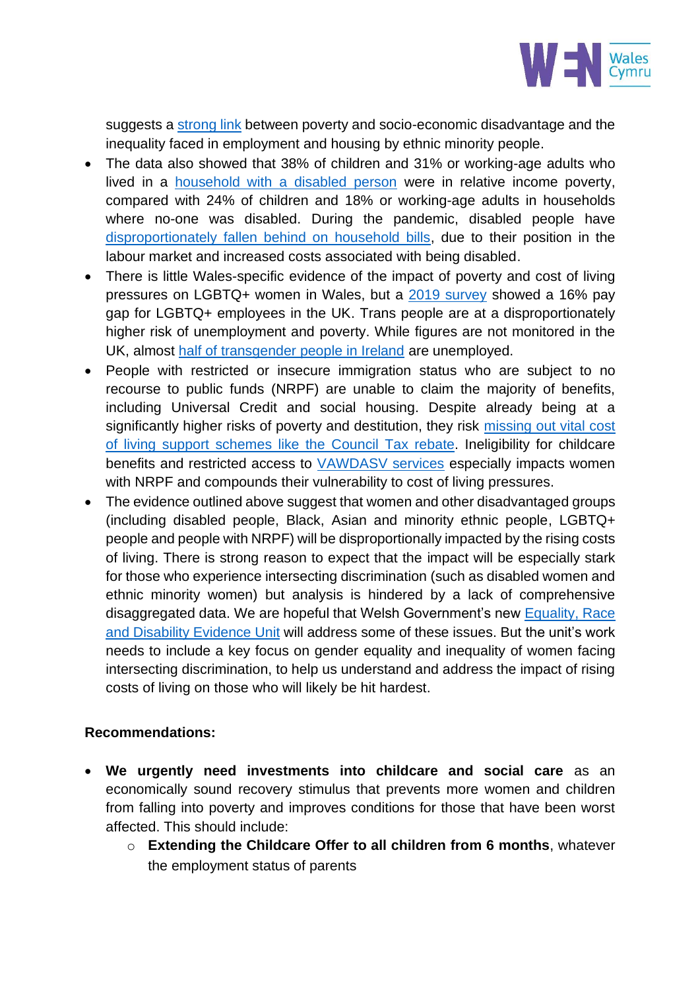

suggests a [strong link](https://gov.wales/sites/default/files/consultations/2021-03/race-equality-action-plan-an-anti-racist-wales_2.pdf) between poverty and socio-economic disadvantage and the inequality faced in employment and housing by ethnic minority people.

- The data also showed that 38% of children and 31% or working-age adults who lived in a [household with a disabled person](https://gov.wales/relative-income-poverty-april-2019-march-2020-html#section-66913) were in relative income poverty, compared with 24% of children and 18% or working-age adults in households where no-one was disabled. During the pandemic, disabled people have [disproportionately fallen behind on household bills,](https://gov.wales/locked-out-liberating-disabled-peoples-lives-and-rights-wales-beyond-covid-19-html#section-75305) due to their position in the labour market and increased costs associated with being disabled.
- There is little Wales-specific evidence of the impact of poverty and cost of living pressures on LGBTQ+ women in Wales, but a [2019 survey](https://www.linkedin.com/news/story/the-uk-hasan-lgbtq-pay-gap-4702500/) showed a 16% pay gap for LGBTQ+ employees in the UK. Trans people are at a disproportionately higher risk of unemployment and poverty. While figures are not monitored in the UK, almost [half of transgender people in Ireland](https://www.thetimes.co.uk/article/half-of-transgender-people-are-unemployed-mkqfmb3d2) are unemployed.
- People with restricted or insecure immigration status who are subject to no recourse to public funds (NRPF) are unable to claim the majority of benefits, including Universal Credit and social housing. Despite already being at a significantly higher risks of poverty and destitution, they risk missing [out vital cost](https://wearecitizensadvice.org.uk/1-4-million-people-nearly-lost-out-on-vital-support-with-cost-of-living-increases-d10c7e8d5a66)  [of living support schemes like the Council Tax rebate.](https://wearecitizensadvice.org.uk/1-4-million-people-nearly-lost-out-on-vital-support-with-cost-of-living-increases-d10c7e8d5a66) Ineligibility for childcare benefits and restricted access to [VAWDASV services](https://www.welshwomensaid.org.uk/wp-content/uploads/2020/12/NRPF-and-VAWDASV-Briefing-for-MSs-Final-ENG.pdf) especially impacts women with NRPF and compounds their vulnerability to cost of living pressures.
- The evidence outlined above suggest that women and other disadvantaged groups (including disabled people, Black, Asian and minority ethnic people, LGBTQ+ people and people with NRPF) will be disproportionally impacted by the rising costs of living. There is strong reason to expect that the impact will be especially stark for those who experience intersecting discrimination (such as disabled women and ethnic minority women) but analysis is hindered by a lack of comprehensive disaggregated data. We are hopeful that Welsh Government's new [Equality, Race](https://gov.wales/government-social-researcher-recruitment-equality-race-and-disability-evidence-units-posts-html#content)  [and Disability Evidence Unit](https://gov.wales/government-social-researcher-recruitment-equality-race-and-disability-evidence-units-posts-html#content) will address some of these issues. But the unit's work needs to include a key focus on gender equality and inequality of women facing intersecting discrimination, to help us understand and address the impact of rising costs of living on those who will likely be hit hardest.

## **Recommendations:**

- **We urgently need investments into childcare and social care** as an economically sound recovery stimulus that prevents more women and children from falling into poverty and improves conditions for those that have been worst affected. This should include:
	- o **Extending the Childcare Offer to all children from 6 months**, whatever the employment status of parents